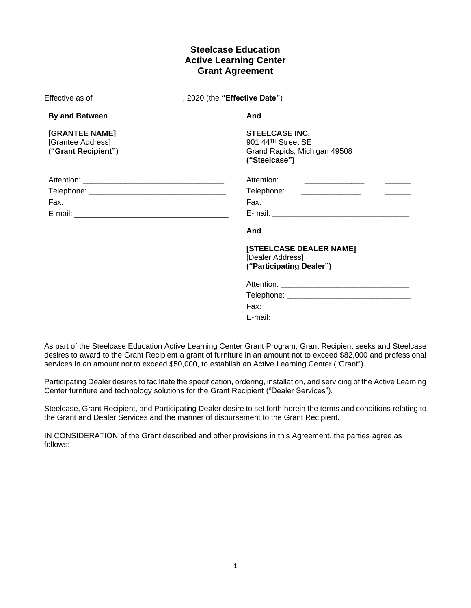# **Steelcase Education Active Learning Center Grant Agreement**

|                                                            | Effective as of ______________________, 2020 (the "Effective Date")                          |
|------------------------------------------------------------|----------------------------------------------------------------------------------------------|
| <b>By and Between</b>                                      | And                                                                                          |
| [GRANTEE NAME]<br>[Grantee Address]<br>("Grant Recipient") | <b>STEELCASE INC.</b><br>901 44TH Street SE<br>Grand Rapids, Michigan 49508<br>("Steelcase") |
|                                                            |                                                                                              |
|                                                            |                                                                                              |
|                                                            |                                                                                              |
|                                                            |                                                                                              |
|                                                            | And                                                                                          |
|                                                            | [STEELCASE DEALER NAME]<br>[Dealer Address]<br>("Participating Dealer")                      |
|                                                            | Attention:                                                                                   |

As part of the Steelcase Education Active Learning Center Grant Program, Grant Recipient seeks and Steelcase desires to award to the Grant Recipient a grant of furniture in an amount not to exceed \$82,000 and professional services in an amount not to exceed \$50,000, to establish an Active Learning Center ("Grant").

Telephone: \_\_\_\_\_\_\_\_\_\_\_\_\_\_\_\_\_\_\_\_\_\_\_\_\_\_\_\_\_ Fax: \_\_\_\_\_\_\_\_\_\_\_\_\_

E-mail: **E-mail:**  $\blacksquare$ 

Participating Dealer desires to facilitate the specification, ordering, installation, and servicing of the Active Learning Center furniture and technology solutions for the Grant Recipient ("Dealer Services").

Steelcase, Grant Recipient, and Participating Dealer desire to set forth herein the terms and conditions relating to the Grant and Dealer Services and the manner of disbursement to the Grant Recipient.

IN CONSIDERATION of the Grant described and other provisions in this Agreement, the parties agree as follows: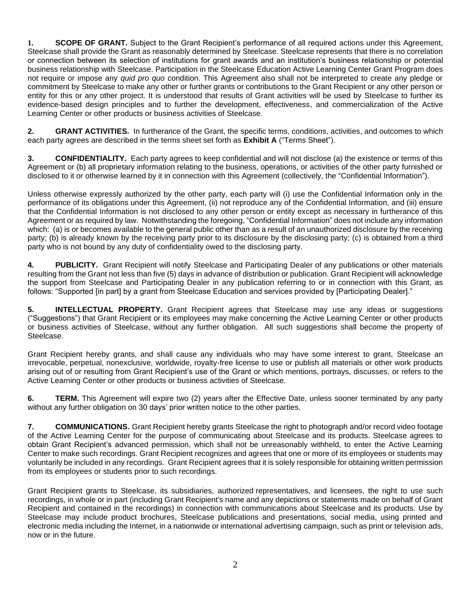**1. SCOPE OF GRANT.** Subject to the Grant Recipient's performance of all required actions under this Agreement, Steelcase shall provide the Grant as reasonably determined by Steelcase. Steelcase represents that there is no correlation or connection between its selection of institutions for grant awards and an institution's business relationship or potential business relationship with Steelcase. Participation in the Steelcase Education Active Learning Center Grant Program does not require or impose any *quid pro quo* condition. This Agreement also shall not be interpreted to create any pledge or commitment by Steelcase to make any other or further grants or contributions to the Grant Recipient or any other person or entity for this or any other project. It is understood that results of Grant activities will be used by Steelcase to further its evidence-based design principles and to further the development, effectiveness, and commercialization of the Active Learning Center or other products or business activities of Steelcase.

**2. GRANT ACTIVITIES.** In furtherance of the Grant, the specific terms, conditions, activities, and outcomes to which each party agrees are described in the terms sheet set forth as **Exhibit A** ("Terms Sheet").

**3. CONFIDENTIALITY.** Each party agrees to keep confidential and will not disclose (a) the existence or terms of this Agreement or (b) all proprietary information relating to the business, operations, or activities of the other party furnished or disclosed to it or otherwise learned by it in connection with this Agreement (collectively, the "Confidential Information").

Unless otherwise expressly authorized by the other party, each party will (i) use the Confidential Information only in the performance of its obligations under this Agreement, (ii) not reproduce any of the Confidential Information, and (iii) ensure that the Confidential Information is not disclosed to any other person or entity except as necessary in furtherance of this Agreement or as required by law. Notwithstanding the foregoing, "Confidential Information" does not include any information which: (a) is or becomes available to the general public other than as a result of an unauthorized disclosure by the receiving party; (b) is already known by the receiving party prior to its disclosure by the disclosing party; (c) is obtained from a third party who is not bound by any duty of confidentiality owed to the disclosing party.

**4. PUBLICITY.** Grant Recipient will notify Steelcase and Participating Dealer of any publications or other materials resulting from the Grant not less than five (5) days in advance of distribution or publication. Grant Recipient will acknowledge the support from Steelcase and Participating Dealer in any publication referring to or in connection with this Grant, as follows: "Supported [in part] by a grant from Steelcase Education and services provided by [Participating Dealer]."

**5. INTELLECTUAL PROPERTY.** Grant Recipient agrees that Steelcase may use any ideas or suggestions ("Suggestions") that Grant Recipient or its employees may make concerning the Active Learning Center or other products or business activities of Steelcase, without any further obligation. All such suggestions shall become the property of Steelcase.

Grant Recipient hereby grants, and shall cause any individuals who may have some interest to grant, Steelcase an irrevocable, perpetual, nonexclusive, worldwide, royalty-free license to use or publish all materials or other work products arising out of or resulting from Grant Recipient's use of the Grant or which mentions, portrays, discusses, or refers to the Active Learning Center or other products or business activities of Steelcase.

**6. TERM.** This Agreement will expire two (2) years after the Effective Date, unless sooner terminated by any party without any further obligation on 30 days' prior written notice to the other parties.

**7. COMMUNICATIONS.** Grant Recipient hereby grants Steelcase the right to photograph and/or record video footage of the Active Learning Center for the purpose of communicating about Steelcase and its products. Steelcase agrees to obtain Grant Recipient's advanced permission, which shall not be unreasonably withheld, to enter the Active Learning Center to make such recordings. Grant Recipient recognizes and agrees that one or more of its employees or students may voluntarily be included in any recordings. Grant Recipient agrees that it is solely responsible for obtaining written permission from its employees or students prior to such recordings.

Grant Recipient grants to Steelcase, its subsidiaries, authorized representatives, and licensees, the right to use such recordings, in whole or in part (including Grant Recipient's name and any depictions or statements made on behalf of Grant Recipient and contained in the recordings) in connection with communications about Steelcase and its products. Use by Steelcase may include product brochures, Steelcase publications and presentations, social media, using printed and electronic media including the Internet, in a nationwide or international advertising campaign, such as print or television ads, now or in the future.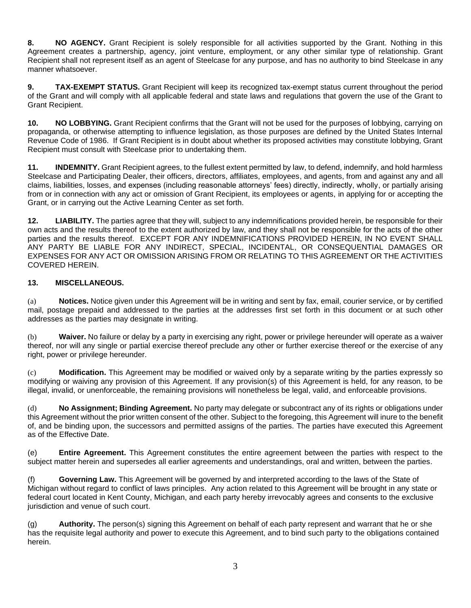**8. NO AGENCY.** Grant Recipient is solely responsible for all activities supported by the Grant. Nothing in this Agreement creates a partnership, agency, joint venture, employment, or any other similar type of relationship. Grant Recipient shall not represent itself as an agent of Steelcase for any purpose, and has no authority to bind Steelcase in any manner whatsoever.

**9. TAX-EXEMPT STATUS.** Grant Recipient will keep its recognized tax-exempt status current throughout the period of the Grant and will comply with all applicable federal and state laws and regulations that govern the use of the Grant to Grant Recipient.

**10. NO LOBBYING.** Grant Recipient confirms that the Grant will not be used for the purposes of lobbying, carrying on propaganda, or otherwise attempting to influence legislation, as those purposes are defined by the United States Internal Revenue Code of 1986. If Grant Recipient is in doubt about whether its proposed activities may constitute lobbying, Grant Recipient must consult with Steelcase prior to undertaking them.

**11. INDEMNITY.** Grant Recipient agrees, to the fullest extent permitted by law, to defend, indemnify, and hold harmless Steelcase and Participating Dealer, their officers, directors, affiliates, employees, and agents, from and against any and all claims, liabilities, losses, and expenses (including reasonable attorneys' fees) directly, indirectly, wholly, or partially arising from or in connection with any act or omission of Grant Recipient, its employees or agents, in applying for or accepting the Grant, or in carrying out the Active Learning Center as set forth.

**12. LIABILITY.** The parties agree that they will, subject to any indemnifications provided herein, be responsible for their own acts and the results thereof to the extent authorized by law, and they shall not be responsible for the acts of the other parties and the results thereof. EXCEPT FOR ANY INDEMNIFICATIONS PROVIDED HEREIN, IN NO EVENT SHALL ANY PARTY BE LIABLE FOR ANY INDIRECT, SPECIAL, INCIDENTAL, OR CONSEQUENTIAL DAMAGES OR EXPENSES FOR ANY ACT OR OMISSION ARISING FROM OR RELATING TO THIS AGREEMENT OR THE ACTIVITIES COVERED HEREIN.

## **13. MISCELLANEOUS.**

(a) **Notices.** Notice given under this Agreement will be in writing and sent by fax, email, courier service, or by certified mail, postage prepaid and addressed to the parties at the addresses first set forth in this document or at such other addresses as the parties may designate in writing.

(b) **Waiver.** No failure or delay by a party in exercising any right, power or privilege hereunder will operate as a waiver thereof, nor will any single or partial exercise thereof preclude any other or further exercise thereof or the exercise of any right, power or privilege hereunder.

(c) **Modification.** This Agreement may be modified or waived only by a separate writing by the parties expressly so modifying or waiving any provision of this Agreement. If any provision(s) of this Agreement is held, for any reason, to be illegal, invalid, or unenforceable, the remaining provisions will nonetheless be legal, valid, and enforceable provisions.

(d) **No Assignment; Binding Agreement.** No party may delegate or subcontract any of its rights or obligations under this Agreement without the prior written consent of the other. Subject to the foregoing, this Agreement will inure to the benefit of, and be binding upon, the successors and permitted assigns of the parties. The parties have executed this Agreement as of the Effective Date.

(e) **Entire Agreement.** This Agreement constitutes the entire agreement between the parties with respect to the subject matter herein and supersedes all earlier agreements and understandings, oral and written, between the parties.

(f) **Governing Law.** This Agreement will be governed by and interpreted according to the laws of the State of Michigan without regard to conflict of laws principles. Any action related to this Agreement will be brought in any state or federal court located in Kent County, Michigan, and each party hereby irrevocably agrees and consents to the exclusive jurisdiction and venue of such court.

(g) **Authority.** The person(s) signing this Agreement on behalf of each party represent and warrant that he or she has the requisite legal authority and power to execute this Agreement, and to bind such party to the obligations contained herein.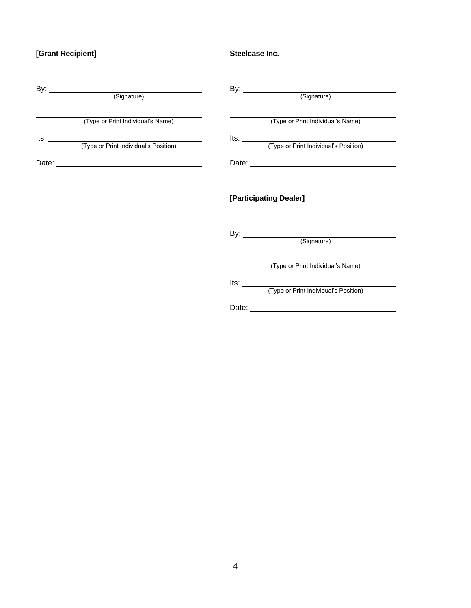# **[Grant Recipient]**

**Steelcase Inc.**

| By: <u>Contract (Signature)</u>   | By: <u>Community (Signature)</u>           |
|-----------------------------------|--------------------------------------------|
| (Type or Print Individual's Name) | (Type or Print Individual's Name)          |
|                                   |                                            |
|                                   | Its: (Type or Print Individual's Position) |
| Date:                             |                                            |
|                                   | [Participating Dealer]                     |
|                                   | By: <u>Community (Signature)</u>           |
|                                   | (Type or Print Individual's Name)          |
|                                   | lts: and a little                          |
|                                   | (Type or Print Individual's Position)      |

Date:

 $\overline{\phantom{a}}$ 

4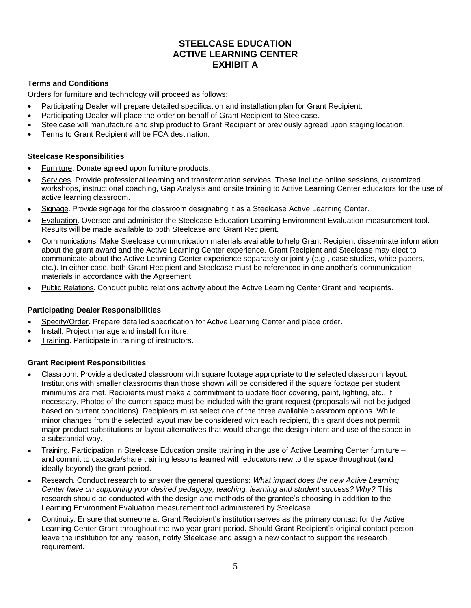# **STEELCASE EDUCATION ACTIVE LEARNING CENTER EXHIBIT A**

## **Terms and Conditions**

Orders for furniture and technology will proceed as follows:

- Participating Dealer will prepare detailed specification and installation plan for Grant Recipient.
- Participating Dealer will place the order on behalf of Grant Recipient to Steelcase.
- Steelcase will manufacture and ship product to Grant Recipient or previously agreed upon staging location.
- Terms to Grant Recipient will be FCA destination.

### **Steelcase Responsibilities**

- Furniture. Donate agreed upon furniture products.
- Services. Provide professional learning and transformation services. These include online sessions, customized workshops, instructional coaching, Gap Analysis and onsite training to Active Learning Center educators for the use of active learning classroom.
- Signage. Provide signage for the classroom designating it as a Steelcase Active Learning Center.
- Evaluation. Oversee and administer the Steelcase Education Learning Environment Evaluation measurement tool. Results will be made available to both Steelcase and Grant Recipient.
- Communications. Make Steelcase communication materials available to help Grant Recipient disseminate information about the grant award and the Active Learning Center experience. Grant Recipient and Steelcase may elect to communicate about the Active Learning Center experience separately or jointly (e.g., case studies, white papers, etc.). In either case, both Grant Recipient and Steelcase must be referenced in one another's communication materials in accordance with the Agreement.
- Public Relations. Conduct public relations activity about the Active Learning Center Grant and recipients.

### **Participating Dealer Responsibilities**

- Specify/Order. Prepare detailed specification for Active Learning Center and place order.
- Install. Project manage and install furniture.
- Training. Participate in training of instructors.

### **Grant Recipient Responsibilities**

- Classroom. Provide a dedicated classroom with square footage appropriate to the selected classroom layout. Institutions with smaller classrooms than those shown will be considered if the square footage per student minimums are met. Recipients must make a commitment to update floor covering, paint, lighting, etc., if necessary. Photos of the current space must be included with the grant request (proposals will not be judged based on current conditions). Recipients must select one of the three available classroom options. While minor changes from the selected layout may be considered with each recipient, this grant does not permit major product substitutions or layout alternatives that would change the design intent and use of the space in a substantial way.
- Training. Participation in Steelcase Education onsite training in the use of Active Learning Center furniture and commit to cascade/share training lessons learned with educators new to the space throughout (and ideally beyond) the grant period.
- Research. Conduct research to answer the general questions: *What impact does the new Active Learning Center have on supporting your desired pedagogy, teaching, learning and student success? Why?* This research should be conducted with the design and methods of the grantee's choosing in addition to the Learning Environment Evaluation measurement tool administered by Steelcase.
- Continuity. Ensure that someone at Grant Recipient's institution serves as the primary contact for the Active Learning Center Grant throughout the two-year grant period. Should Grant Recipient's original contact person leave the institution for any reason, notify Steelcase and assign a new contact to support the research requirement.